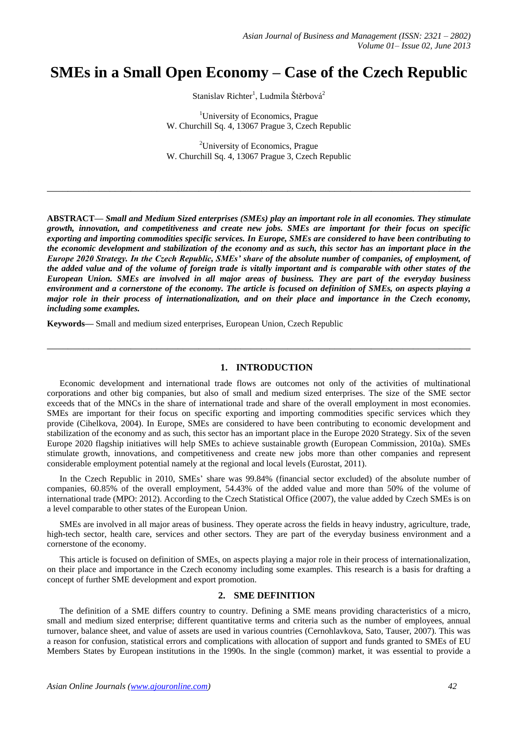# **SMEs in a Small Open Economy – Case of the Czech Republic**

Stanislav Richter<sup>1</sup>, Ludmila Štěrbová<sup>2</sup>

<sup>1</sup>University of Economics, Prague W. Churchill Sq. 4, 13067 Prague 3, Czech Republic

<sup>2</sup>University of Economics, Prague W. Churchill Sq. 4, 13067 Prague 3, Czech Republic

**\_\_\_\_\_\_\_\_\_\_\_\_\_\_\_\_\_\_\_\_\_\_\_\_\_\_\_\_\_\_\_\_\_\_\_\_\_\_\_\_\_\_\_\_\_\_\_\_\_\_\_\_\_\_\_\_\_\_\_\_\_\_\_\_\_\_\_\_\_\_\_\_\_\_\_\_\_\_\_\_\_**

**ABSTRACT—** *Small and Medium Sized enterprises (SMEs) play an important role in all economies. They stimulate growth, innovation, and competitiveness and create new jobs. SMEs are important for their focus on specific exporting and importing commodities specific services. In Europe, SMEs are considered to have been contributing to the economic development and stabilization of the economy and as such, this sector has an important place in the Europe 2020 Strategy. In the Czech Republic, SMEs' share of the absolute number of companies, of employment, of the added value and of the volume of foreign trade is vitally important and is comparable with other states of the European Union. SMEs are involved in all major areas of business. They are part of the everyday business environment and a cornerstone of the economy. The article is focused on definition of SMEs, on aspects playing a major role in their process of internationalization, and on their place and importance in the Czech economy, including some examples.* 

**Keywords—** Small and medium sized enterprises, European Union, Czech Republic

# **1. INTRODUCTION**

**\_\_\_\_\_\_\_\_\_\_\_\_\_\_\_\_\_\_\_\_\_\_\_\_\_\_\_\_\_\_\_\_\_\_\_\_\_\_\_\_\_\_\_\_\_\_\_\_\_\_\_\_\_\_\_\_\_\_\_\_\_\_\_\_\_\_\_\_\_\_\_\_\_\_\_\_\_\_\_\_\_**

Economic development and international trade flows are outcomes not only of the activities of multinational corporations and other big companies, but also of small and medium sized enterprises. The size of the SME sector exceeds that of the MNCs in the share of international trade and share of the overall employment in most economies. SMEs are important for their focus on specific exporting and importing commodities specific services which they provide (Cihelkova, 2004). In Europe, SMEs are considered to have been contributing to economic development and stabilization of the economy and as such, this sector has an important place in the Europe 2020 Strategy. Six of the seven Europe 2020 flagship initiatives will help SMEs to achieve sustainable growth (European Commission, 2010a). SMEs stimulate growth, innovations, and competitiveness and create new jobs more than other companies and represent considerable employment potential namely at the regional and local levels (Eurostat, 2011).

In the Czech Republic in 2010, SMEs' share was 99.84% (financial sector excluded) of the absolute number of companies, 60.85% of the overall employment, 54.43% of the added value and more than 50% of the volume of international trade (MPO: 2012). According to the Czech Statistical Office (2007), the value added by Czech SMEs is on a level comparable to other states of the European Union.

SMEs are involved in all major areas of business. They operate across the fields in heavy industry, agriculture, trade, high-tech sector, health care, services and other sectors. They are part of the everyday business environment and a cornerstone of the economy.

This article is focused on definition of SMEs, on aspects playing a major role in their process of internationalization, on their place and importance in the Czech economy including some examples. This research is a basis for drafting a concept of further SME development and export promotion.

## **2. SME DEFINITION**

The definition of a SME differs country to country. Defining a SME means providing characteristics of a micro, small and medium sized enterprise; different quantitative terms and criteria such as the number of employees, annual turnover, balance sheet, and value of assets are used in various countries (Cernohlavkova, Sato, Tauser, 2007). This was a reason for confusion, statistical errors and complications with allocation of support and funds granted to SMEs of EU Members States by European institutions in the 1990s. In the single (common) market, it was essential to provide a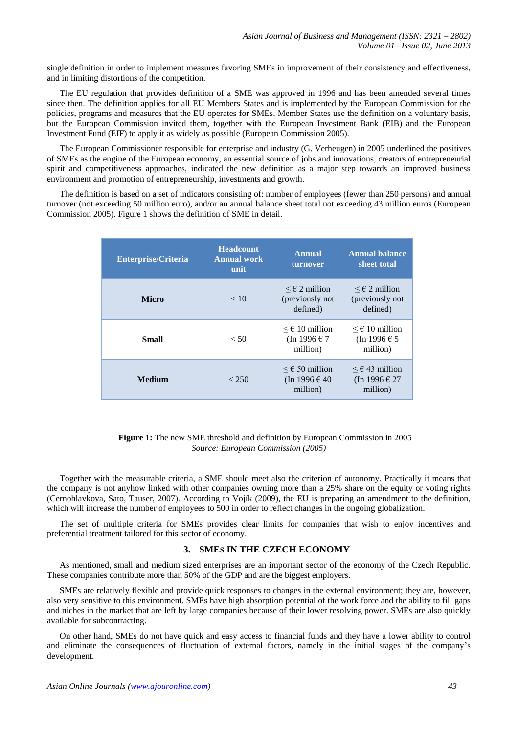single definition in order to implement measures favoring SMEs in improvement of their consistency and effectiveness, and in limiting distortions of the competition.

The EU regulation that provides definition of a SME was approved in 1996 and has been amended several times since then. The definition applies for all EU Members States and is implemented by the European Commission for the policies, programs and measures that the EU operates for SMEs. Member States use the definition on a voluntary basis, but the European Commission invited them, together with the European Investment Bank (EIB) and the European Investment Fund (EIF) to apply it as widely as possible (European Commission 2005).

The European Commissioner responsible for enterprise and industry (G. Verheugen) in 2005 underlined the positives of SMEs as the engine of the European economy, an essential source of jobs and innovations, creators of entrepreneurial spirit and competitiveness approaches, indicated the new definition as a major step towards an improved business environment and promotion of entrepreneurship, investments and growth.

The definition is based on a set of indicators consisting of: number of employees (fewer than 250 persons) and annual turnover (not exceeding 50 million euro), and/or an annual balance sheet total not exceeding 43 million euros (European Commission 2005). Figure 1 shows the definition of SME in detail.

| <b>Enterprise/Criteria</b> | <b>Headcount</b><br><b>Annual work</b><br>unit | <b>Annual</b><br>turnover                                | <b>Annual balance</b><br>sheet total                    |  |  |
|----------------------------|------------------------------------------------|----------------------------------------------------------|---------------------------------------------------------|--|--|
| <b>Micro</b>               | < 10                                           | $\leq \epsilon$ 2 million<br>(previously not<br>defined) | $≤$ € 2 million<br>(previously not<br>defined)          |  |  |
| Small                      | $<$ 50                                         | $\leq \epsilon$ 10 million<br>(In 1996 € 7<br>million)   | $\leq \epsilon$ 10 million<br>(In 1996 € 5<br>million)  |  |  |
| <b>Medium</b>              | < 250                                          | $\leq \epsilon$ 50 million<br>(In 1996 € 40<br>million)  | $\leq \epsilon$ 43 million<br>(In 1996 € 27<br>million) |  |  |

### **Figure 1:** The new SME threshold and definition by European Commission in 2005 *Source: European Commission (2005)*

Together with the measurable criteria, a SME should meet also the criterion of autonomy. Practically it means that the company is not anyhow linked with other companies owning more than a 25% share on the equity or voting rights (Cernohlavkova, Sato, Tauser, 2007). According to Vojík (2009), the EU is preparing an amendment to the definition, which will increase the number of employees to 500 in order to reflect changes in the ongoing globalization.

The set of multiple criteria for SMEs provides clear limits for companies that wish to enjoy incentives and preferential treatment tailored for this sector of economy.

# **3. SMES IN THE CZECH ECONOMY**

As mentioned, small and medium sized enterprises are an important sector of the economy of the Czech Republic. These companies contribute more than 50% of the GDP and are the biggest employers.

SMEs are relatively flexible and provide quick responses to changes in the external environment; they are, however, also very sensitive to this environment. SMEs have high absorption potential of the work force and the ability to fill gaps and niches in the market that are left by large companies because of their lower resolving power. SMEs are also quickly available for subcontracting.

On other hand, SMEs do not have quick and easy access to financial funds and they have a lower ability to control and eliminate the consequences of fluctuation of external factors, namely in the initial stages of the company's development.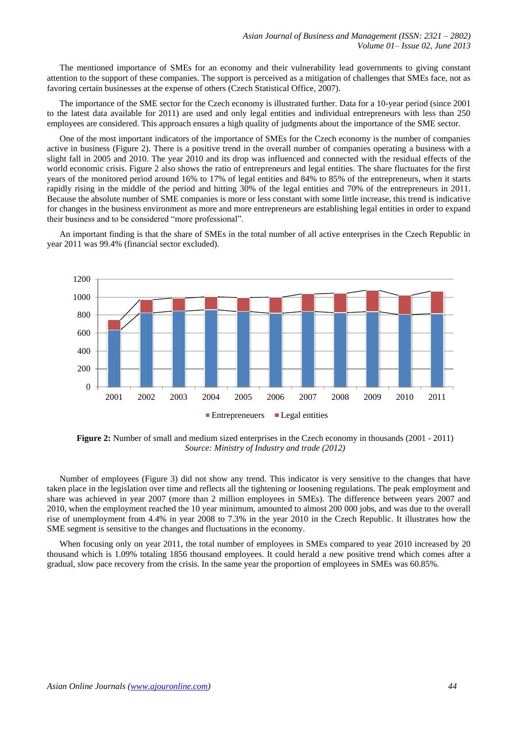The mentioned importance of SMEs for an economy and their vulnerability lead governments to giving constant attention to the support of these companies. The support is perceived as a mitigation of challenges that SMEs face, not as favoring certain businesses at the expense of others (Czech Statistical Office, 2007).

The importance of the SME sector for the Czech economy is illustrated further. Data for a 10-year period (since 2001 to the latest data available for 2011) are used and only legal entities and individual entrepreneurs with less than 250 employees are considered. This approach ensures a high quality of judgments about the importance of the SME sector.

One of the most important indicators of the importance of SMEs for the Czech economy is the number of companies active in business (Figure 2). There is a positive trend in the overall number of companies operating a business with a slight fall in 2005 and 2010. The year 2010 and its drop was influenced and connected with the residual effects of the world economic crisis. Figure 2 also shows the ratio of entrepreneurs and legal entities. The share fluctuates for the first years of the monitored period around 16% to 17% of legal entities and 84% to 85% of the entrepreneurs, when it starts rapidly rising in the middle of the period and hitting 30% of the legal entities and 70% of the entrepreneurs in 2011. Because the absolute number of SME companies is more or less constant with some little increase, this trend is indicative for changes in the business environment as more and more entrepreneurs are establishing legal entities in order to expand their business and to be considered "more professional".

An important finding is that the share of SMEs in the total number of all active enterprises in the Czech Republic in year 2011 was 99.4% (financial sector excluded).



**Figure 2:** Number of small and medium sized enterprises in the Czech economy in thousands (2001 - 2011) *Source: Ministry of Industry and trade (2012)*

Number of employees (Figure 3) did not show any trend. This indicator is very sensitive to the changes that have taken place in the legislation over time and reflects all the tightening or loosening regulations. The peak employment and share was achieved in year 2007 (more than 2 million employees in SMEs). The difference between years 2007 and 2010, when the employment reached the 10 year minimum, amounted to almost 200 000 jobs, and was due to the overall rise of unemployment from 4.4% in year 2008 to 7.3% in the year 2010 in the Czech Republic. It illustrates how the SME segment is sensitive to the changes and fluctuations in the economy.

When focusing only on year 2011, the total number of employees in SMEs compared to year 2010 increased by 20 thousand which is 1.09% totaling 1856 thousand employees. It could herald a new positive trend which comes after a gradual, slow pace recovery from the crisis. In the same year the proportion of employees in SMEs was 60.85%.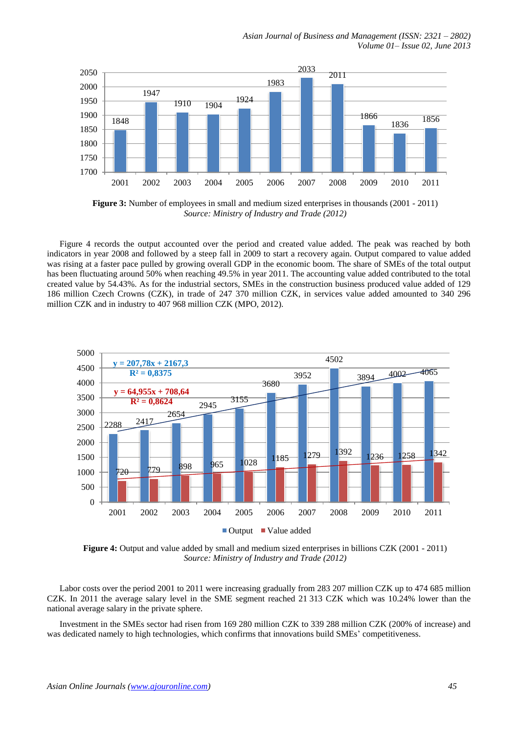

**Figure 3:** Number of employees in small and medium sized enterprises in thousands (2001 - 2011) *Source: Ministry of Industry and Trade (2012)*

Figure 4 records the output accounted over the period and created value added. The peak was reached by both indicators in year 2008 and followed by a steep fall in 2009 to start a recovery again. Output compared to value added was rising at a faster pace pulled by growing overall GDP in the economic boom. The share of SMEs of the total output has been fluctuating around 50% when reaching 49.5% in year 2011. The accounting value added contributed to the total created value by 54.43%. As for the industrial sectors, SMEs in the construction business produced value added of 129 186 million Czech Crowns (CZK), in trade of 247 370 million CZK, in services value added amounted to 340 296 million CZK and in industry to 407 968 million CZK (MPO, 2012).



**Figure 4:** Output and value added by small and medium sized enterprises in billions CZK (2001 - 2011) *Source: Ministry of Industry and Trade (2012)*

Labor costs over the period 2001 to 2011 were increasing gradually from 283 207 million CZK up to 474 685 million CZK. In 2011 the average salary level in the SME segment reached 21 313 CZK which was 10.24% lower than the national average salary in the private sphere.

Investment in the SMEs sector had risen from 169 280 million CZK to 339 288 million CZK (200% of increase) and was dedicated namely to high technologies, which confirms that innovations build SMEs' competitiveness.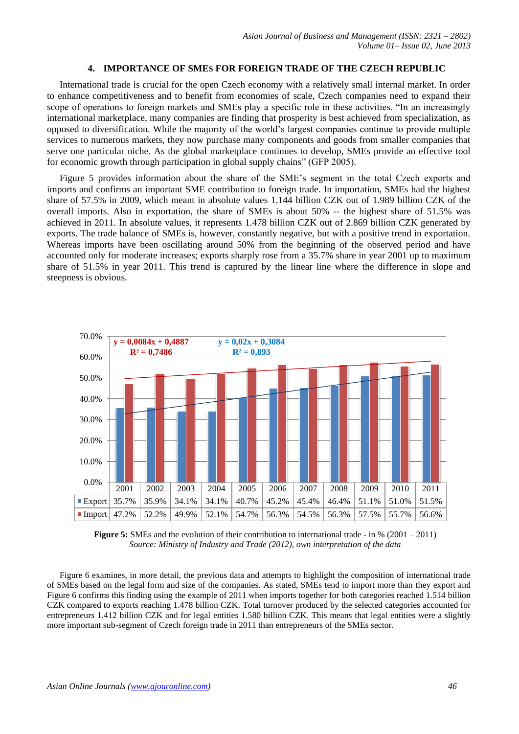## **4. IMPORTANCE OF SMES FOR FOREIGN TRADE OF THE CZECH REPUBLIC**

International trade is crucial for the open Czech economy with a relatively small internal market. In order to enhance competitiveness and to benefit from economies of scale, Czech companies need to expand their scope of operations to foreign markets and SMEs play a specific role in these activities. "In an increasingly international marketplace, many companies are finding that prosperity is best achieved from specialization, as opposed to diversification. While the majority of the world's largest companies continue to provide multiple services to numerous markets, they now purchase many components and goods from smaller companies that serve one particular niche. As the global marketplace continues to develop, SMEs provide an effective tool for economic growth through participation in global supply chains" (GFP 2005).

Figure 5 provides information about the share of the SME's segment in the total Czech exports and imports and confirms an important SME contribution to foreign trade. In importation, SMEs had the highest share of 57.5% in 2009, which meant in absolute values 1.144 billion CZK out of 1.989 billion CZK of the overall imports. Also in exportation, the share of SMEs is about 50% -- the highest share of 51.5% was achieved in 2011. In absolute values, it represents 1.478 billion CZK out of 2.869 billion CZK generated by exports. The trade balance of SMEs is, however, constantly negative, but with a positive trend in exportation. Whereas imports have been oscillating around 50% from the beginning of the observed period and have accounted only for moderate increases; exports sharply rose from a 35.7% share in year 2001 up to maximum share of 51.5% in year 2011. This trend is captured by the linear line where the difference in slope and steepness is obvious.



**Figure 5:** SMEs and the evolution of their contribution to international trade - in % (2001 – 2011) *Source: Ministry of Industry and Trade (2012), own interpretation of the data*

Figure 6 examines, in more detail, the previous data and attempts to highlight the composition of international trade of SMEs based on the legal form and size of the companies. As stated, SMEs tend to import more than they export and Figure 6 confirms this finding using the example of 2011 when imports together for both categories reached 1.514 billion CZK compared to exports reaching 1.478 billion CZK. Total turnover produced by the selected categories accounted for entrepreneurs 1.412 billion CZK and for legal entities 1.580 billion CZK. This means that legal entities were a slightly more important sub-segment of Czech foreign trade in 2011 than entrepreneurs of the SMEs sector.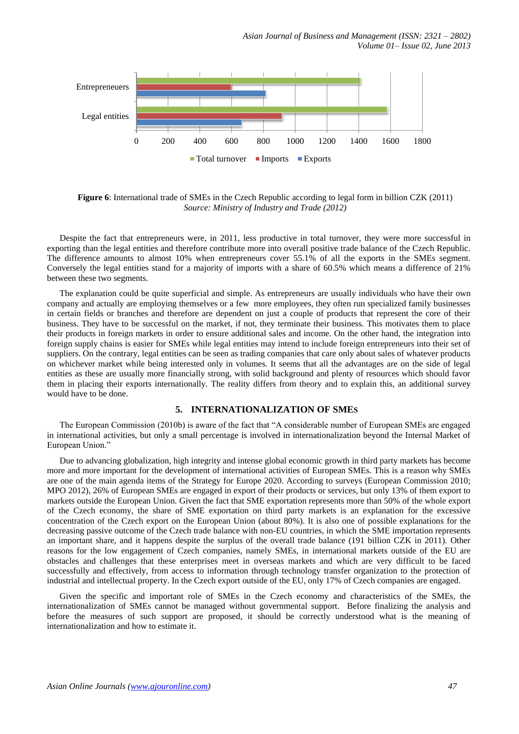*Asian Journal of Business and Management (ISSN: 2321 – 2802) Volume 01– Issue 02, June 2013*



**Figure 6**: International trade of SMEs in the Czech Republic according to legal form in billion CZK (2011) *Source: Ministry of Industry and Trade (2012)*

Despite the fact that entrepreneurs were, in 2011, less productive in total turnover, they were more successful in exporting than the legal entities and therefore contribute more into overall positive trade balance of the Czech Republic. The difference amounts to almost 10% when entrepreneurs cover 55.1% of all the exports in the SMEs segment. Conversely the legal entities stand for a majority of imports with a share of 60.5% which means a difference of 21% between these two segments.

The explanation could be quite superficial and simple. As entrepreneurs are usually individuals who have their own company and actually are employing themselves or a few more employees, they often run specialized family businesses in certain fields or branches and therefore are dependent on just a couple of products that represent the core of their business. They have to be successful on the market, if not, they terminate their business. This motivates them to place their products in foreign markets in order to ensure additional sales and income. On the other hand, the integration into foreign supply chains is easier for SMEs while legal entities may intend to include foreign entrepreneurs into their set of suppliers. On the contrary, legal entities can be seen as trading companies that care only about sales of whatever products on whichever market while being interested only in volumes. It seems that all the advantages are on the side of legal entities as these are usually more financially strong, with solid background and plenty of resources which should favor them in placing their exports internationally. The reality differs from theory and to explain this, an additional survey would have to be done.

## **5. INTERNATIONALIZATION OF SMES**

The European Commission (2010b) is aware of the fact that "A considerable number of European SMEs are engaged in international activities, but only a small percentage is involved in internationalization beyond the Internal Market of European Union."

Due to advancing globalization, high integrity and intense global economic growth in third party markets has become more and more important for the development of international activities of European SMEs. This is a reason why SMEs are one of the main agenda items of the Strategy for Europe 2020. According to surveys (European Commission 2010; MPO 2012), 26% of European SMEs are engaged in export of their products or services, but only 13% of them export to markets outside the European Union. Given the fact that SME exportation represents more than 50% of the whole export of the Czech economy, the share of SME exportation on third party markets is an explanation for the excessive concentration of the Czech export on the European Union (about 80%). It is also one of possible explanations for the decreasing passive outcome of the Czech trade balance with non-EU countries, in which the SME importation represents an important share, and it happens despite the surplus of the overall trade balance (191 billion CZK in 2011). Other reasons for the low engagement of Czech companies, namely SMEs, in international markets outside of the EU are obstacles and challenges that these enterprises meet in overseas markets and which are very difficult to be faced successfully and effectively, from access to information through technology transfer organization to the protection of industrial and intellectual property. In the Czech export outside of the EU, only 17% of Czech companies are engaged.

Given the specific and important role of SMEs in the Czech economy and characteristics of the SMEs, the internationalization of SMEs cannot be managed without governmental support. Before finalizing the analysis and before the measures of such support are proposed, it should be correctly understood what is the meaning of internationalization and how to estimate it.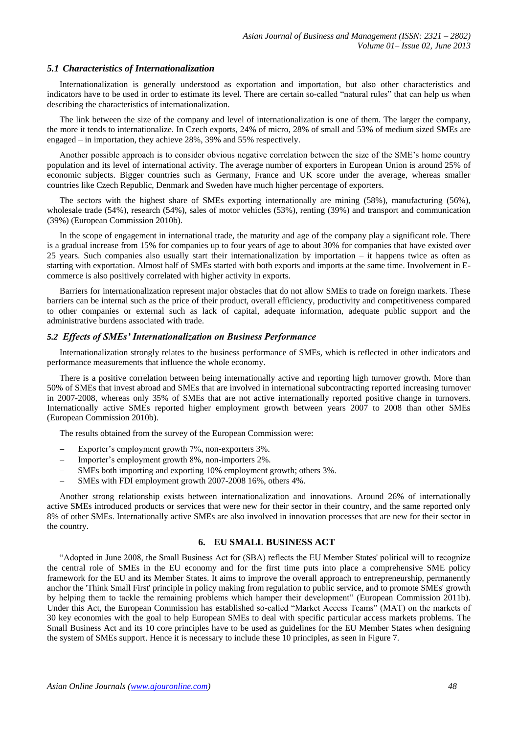#### *5.1 Characteristics of Internationalization*

Internationalization is generally understood as exportation and importation, but also other characteristics and indicators have to be used in order to estimate its level. There are certain so-called "natural rules" that can help us when describing the characteristics of internationalization.

The link between the size of the company and level of internationalization is one of them. The larger the company, the more it tends to internationalize. In Czech exports, 24% of micro, 28% of small and 53% of medium sized SMEs are engaged – in importation, they achieve 28%, 39% and 55% respectively.

Another possible approach is to consider obvious negative correlation between the size of the SME's home country population and its level of international activity. The average number of exporters in European Union is around 25% of economic subjects. Bigger countries such as Germany, France and UK score under the average, whereas smaller countries like Czech Republic, Denmark and Sweden have much higher percentage of exporters.

The sectors with the highest share of SMEs exporting internationally are mining (58%), manufacturing (56%), wholesale trade (54%), research (54%), sales of motor vehicles (53%), renting (39%) and transport and communication (39%) (European Commission 2010b).

In the scope of engagement in international trade, the maturity and age of the company play a significant role. There is a gradual increase from 15% for companies up to four years of age to about 30% for companies that have existed over 25 years. Such companies also usually start their internationalization by importation – it happens twice as often as starting with exportation. Almost half of SMEs started with both exports and imports at the same time. Involvement in Ecommerce is also positively correlated with higher activity in exports.

Barriers for internationalization represent major obstacles that do not allow SMEs to trade on foreign markets. These barriers can be internal such as the price of their product, overall efficiency, productivity and competitiveness compared to other companies or external such as lack of capital, adequate information, adequate public support and the administrative burdens associated with trade.

#### *5.2 Effects of SMEs' Internationalization on Business Performance*

Internationalization strongly relates to the business performance of SMEs, which is reflected in other indicators and performance measurements that influence the whole economy.

There is a positive correlation between being internationally active and reporting high turnover growth. More than 50% of SMEs that invest abroad and SMEs that are involved in international subcontracting reported increasing turnover in 2007-2008, whereas only 35% of SMEs that are not active internationally reported positive change in turnovers. Internationally active SMEs reported higher employment growth between years 2007 to 2008 than other SMEs (European Commission 2010b).

The results obtained from the survey of the European Commission were:

- Exporter's employment growth 7%, non-exporters 3%.
- Importer's employment growth 8%, non-importers 2%.
- SMEs both importing and exporting 10% employment growth; others 3%.
- SMEs with FDI employment growth 2007-2008 16%, others 4%.

Another strong relationship exists between internationalization and innovations. Around 26% of internationally active SMEs introduced products or services that were new for their sector in their country, and the same reported only 8% of other SMEs. Internationally active SMEs are also involved in innovation processes that are new for their sector in the country.

# **6. EU SMALL BUSINESS ACT**

"Adopted in June 2008, the Small Business Act for (SBA) reflects the EU Member States' political will to recognize the central role of SMEs in the EU economy and for the first time puts into place a comprehensive SME policy framework for the EU and its Member States. It aims to improve the overall approach to entrepreneurship, permanently anchor the 'Think Small First' principle in policy making from regulation to public service, and to promote SMEs' growth by helping them to tackle the remaining problems which hamper their development" (European Commission 2011b). Under this Act, the European Commission has established so-called "Market Access Teams" (MAT) on the markets of 30 key economies with the goal to help European SMEs to deal with specific particular access markets problems. The Small Business Act and its 10 core principles have to be used as guidelines for the EU Member States when designing the system of SMEs support. Hence it is necessary to include these 10 principles, as seen in Figure 7.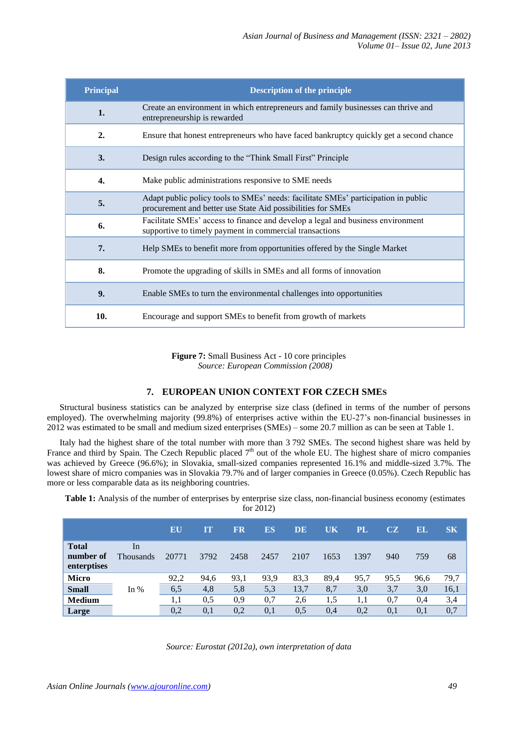| <b>Principal</b> | <b>Description of the principle</b>                                                                                                               |
|------------------|---------------------------------------------------------------------------------------------------------------------------------------------------|
| 1.               | Create an environment in which entrepreneurs and family businesses can thrive and<br>entrepreneurship is rewarded                                 |
| $\overline{2}$ . | Ensure that honest entrepreneurs who have faced bankruptcy quickly get a second chance                                                            |
| 3.               | Design rules according to the "Think Small First" Principle                                                                                       |
| 4.               | Make public administrations responsive to SME needs                                                                                               |
| 5.               | Adapt public policy tools to SMEs' needs: facilitate SMEs' participation in public<br>procurement and better use State Aid possibilities for SMEs |
| 6.               | Facilitate SMEs' access to finance and develop a legal and business environment<br>supportive to timely payment in commercial transactions        |
| 7.               | Help SMEs to benefit more from opportunities offered by the Single Market                                                                         |
| 8.               | Promote the upgrading of skills in SMEs and all forms of innovation                                                                               |
| 9.               | Enable SMEs to turn the environmental challenges into opportunities                                                                               |
| 10.              | Encourage and support SMEs to benefit from growth of markets                                                                                      |

**Figure 7:** Small Business Act - 10 core principles *Source: European Commission (2008)*

# **7. EUROPEAN UNION CONTEXT FOR CZECH SMES**

Structural business statistics can be analyzed by enterprise size class (defined in terms of the number of persons employed). The overwhelming majority (99.8%) of enterprises active within the EU-27's non-financial businesses in 2012 was estimated to be small and medium sized enterprises (SMEs) – some 20.7 million as can be seen at Table 1.

Italy had the highest share of the total number with more than 3 792 SMEs. The second highest share was held by France and third by Spain. The Czech Republic placed  $7<sup>th</sup>$  out of the whole EU. The highest share of micro companies was achieved by Greece (96.6%); in Slovakia, small-sized companies represented 16.1% and middle-sized 3.7%. The lowest share of micro companies was in Slovakia 79.7% and of larger companies in Greece (0.05%). Czech Republic has more or less comparable data as its neighboring countries.

**Table 1:** Analysis of the number of enterprises by enterprise size class, non-financial business economy (estimates for 2012)

|                                          |                        | EU    | Ш    | FR   | ES   | DE   | UK   | PL   | CZ   | EL   | S <sub>K</sub> |
|------------------------------------------|------------------------|-------|------|------|------|------|------|------|------|------|----------------|
| <b>Total</b><br>number of<br>enterptises | In<br><b>Thousands</b> | 20771 | 3792 | 2458 | 2457 | 2107 | 1653 | 1397 | 940  | 759  | 68             |
| <b>Micro</b>                             |                        | 92,2  | 94,6 | 93,1 | 93,9 | 83,3 | 89,4 | 95,7 | 95,5 | 96,6 | 79,7           |
| <b>Small</b>                             | In $%$                 | 6,5   | 4,8  | 5,8  | 5,3  | 13,7 | 8,7  | 3,0  | 3,7  | 3,0  | 16,1           |
| <b>Medium</b>                            |                        | 1.1   | 0.5  | 0,9  | 0,7  | 2,6  | 1,5  | 1.1  | 0,7  | 0,4  | 3,4            |
| Large                                    |                        | 0,2   | 0,1  | 0,2  | 0,1  | 0,5  | 0,4  | 0,2  | 0,1  | 0,1  | 0,7            |

*Source: Eurostat (2012a), own interpretation of data*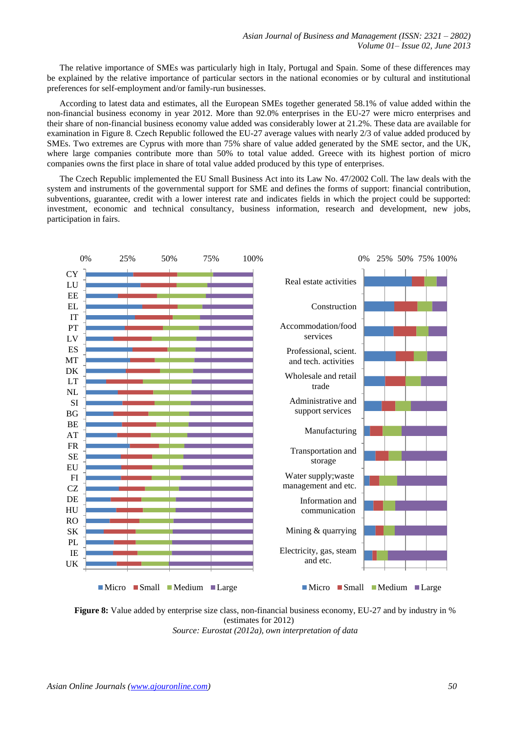The relative importance of SMEs was particularly high in Italy, Portugal and Spain. Some of these differences may be explained by the relative importance of particular sectors in the national economies or by cultural and institutional preferences for self-employment and/or family-run businesses.

According to latest data and estimates, all the European SMEs together generated 58.1% of value added within the non-financial business economy in year 2012. More than 92.0% enterprises in the EU-27 were micro enterprises and their share of non-financial business economy value added was considerably lower at 21.2%. These data are available for examination in Figure 8. Czech Republic followed the EU-27 average values with nearly 2/3 of value added produced by SMEs. Two extremes are Cyprus with more than 75% share of value added generated by the SME sector, and the UK, where large companies contribute more than 50% to total value added. Greece with its highest portion of micro companies owns the first place in share of total value added produced by this type of enterprises.

The Czech Republic implemented the EU Small Business Act into its Law No. 47/2002 Coll. The law deals with the system and instruments of the governmental support for SME and defines the forms of support: financial contribution, subventions, guarantee, credit with a lower interest rate and indicates fields in which the project could be supported: investment, economic and technical consultancy, business information, research and development, new jobs, participation in fairs.



**Figure 8:** Value added by enterprise size class, non-financial business economy, EU-27 and by industry in % (estimates for 2012) *Source: Eurostat (2012a), own interpretation of data*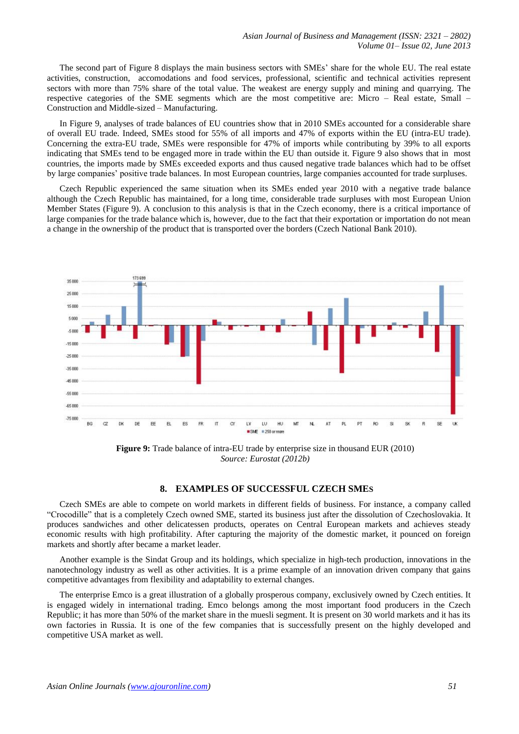The second part of Figure 8 displays the main business sectors with SMEs' share for the whole EU. The real estate activities, construction, accomodations and food services, professional, scientific and technical activities represent sectors with more than 75% share of the total value. The weakest are energy supply and mining and quarrying. The respective categories of the SME segments which are the most competitive are: Micro – Real estate, Small – Construction and Middle-sized – Manufacturing.

In Figure 9, analyses of trade balances of EU countries show that in 2010 SMEs accounted for a considerable share of overall EU trade. Indeed, SMEs stood for 55% of all imports and 47% of exports within the EU (intra-EU trade). Concerning the extra-EU trade, SMEs were responsible for 47% of imports while contributing by 39% to all exports indicating that SMEs tend to be engaged more in trade within the EU than outside it. Figure 9 also shows that in most countries, the imports made by SMEs exceeded exports and thus caused negative trade balances which had to be offset by large companies' positive trade balances. In most European countries, large companies accounted for trade surpluses.

Czech Republic experienced the same situation when its SMEs ended year 2010 with a negative trade balance although the Czech Republic has maintained, for a long time, considerable trade surpluses with most European Union Member States (Figure 9). A conclusion to this analysis is that in the Czech economy, there is a critical importance of large companies for the trade balance which is, however, due to the fact that their exportation or importation do not mean a change in the ownership of the product that is transported over the borders (Czech National Bank 2010).



**Figure 9:** Trade balance of intra-EU trade by enterprise size in thousand EUR (2010) *Source: Eurostat (2012b)*

#### **8. EXAMPLES OF SUCCESSFUL CZECH SMES**

Czech SMEs are able to compete on world markets in different fields of business. For instance, a company called "Crocodille" that is a completely Czech owned SME, started its business just after the dissolution of Czechoslovakia. It produces sandwiches and other delicatessen products, operates on Central European markets and achieves steady economic results with high profitability. After capturing the majority of the domestic market, it pounced on foreign markets and shortly after became a market leader.

Another example is the Sindat Group and its holdings, which specialize in high-tech production, innovations in the nanotechnology industry as well as other activities. It is a prime example of an innovation driven company that gains competitive advantages from flexibility and adaptability to external changes.

The enterprise Emco is a great illustration of a globally prosperous company, exclusively owned by Czech entities. It is engaged widely in international trading. Emco belongs among the most important food producers in the Czech Republic; it has more than 50% of the market share in the muesli segment. It is present on 30 world markets and it has its own factories in Russia. It is one of the few companies that is successfully present on the highly developed and competitive USA market as well.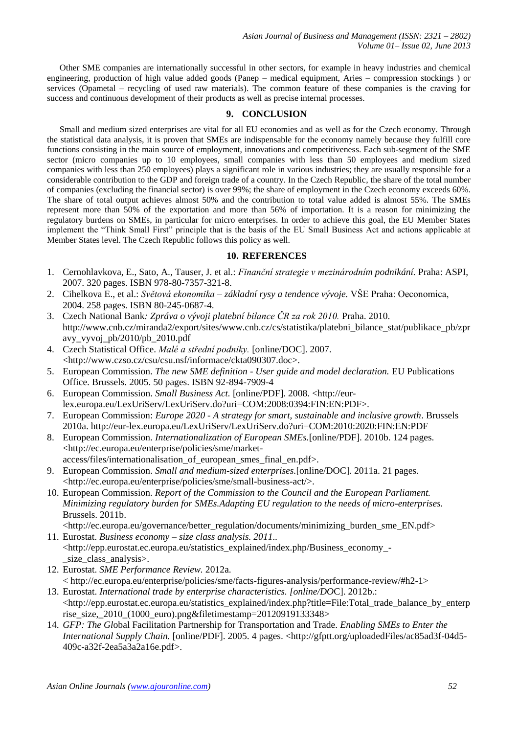Other SME companies are internationally successful in other sectors, for example in heavy industries and chemical engineering, production of high value added goods (Panep – medical equipment, Aries – compression stockings ) or services (Opametal – recycling of used raw materials). The common feature of these companies is the craving for success and continuous development of their products as well as precise internal processes.

# **9. CONCLUSION**

Small and medium sized enterprises are vital for all EU economies and as well as for the Czech economy. Through the statistical data analysis, it is proven that SMEs are indispensable for the economy namely because they fulfill core functions consisting in the main source of employment, innovations and competitiveness. Each sub-segment of the SME sector (micro companies up to 10 employees, small companies with less than 50 employees and medium sized companies with less than 250 employees) plays a significant role in various industries; they are usually responsible for a considerable contribution to the GDP and foreign trade of a country. In the Czech Republic, the share of the total number of companies (excluding the financial sector) is over 99%; the share of employment in the Czech economy exceeds 60%. The share of total output achieves almost 50% and the contribution to total value added is almost 55%. The SMEs represent more than 50% of the exportation and more than 56% of importation. It is a reason for minimizing the regulatory burdens on SMEs, in particular for micro enterprises. In order to achieve this goal, the EU Member States implement the "Think Small First" principle that is the basis of the EU Small Business Act and actions applicable at Member States level. The Czech Republic follows this policy as well.

# **10. REFERENCES**

- 1. Cernohlavkova, E., Sato, A., Tauser, J. et al.: *Finanční strategie v mezinárodním podnikání.* Praha: ASPI, 2007. 320 pages. ISBN 978-80-7357-321-8.
- 2. Cihelkova E., et al.: *Světová ekonomika – základní rysy a tendence vývoje.* VŠE Praha: Oeconomica, 2004. 258 pages. ISBN 80-245-0687-4.
- 3. Czech National Bank*: Zpráva o vývoji platební bilance ČR za rok 2010.* Praha. 2010. http://www.cnb.cz/miranda2/export/sites/www.cnb.cz/cs/statistika/platebni\_bilance\_stat/publikace\_pb/zpr avy\_vyvoj\_pb/2010/pb\_2010.pdf
- 4. Czech Statistical Office. *Malé a střední podniky.* [online/DOC]. 2007. <http://www.czso.cz/csu/csu.nsf/informace/ckta090307.doc>.
- 5. European Commission. *The new SME definition - User guide and model declaration.* EU Publications Office. Brussels. 2005. 50 pages. ISBN 92-894-7909-4
- 6. European Commission. *Small Business Act.* [online/PDF]. 2008. <http://eurlex.europa.eu/LexUriServ/LexUriServ.do?uri=COM:2008:0394:FIN:EN:PDF>.
- 7. European Commission: *Europe 2020 - A strategy for smart, sustainable and inclusive growth*. Brussels 2010a. http://eur-lex.europa.eu/LexUriServ/LexUriServ.do?uri=COM:2010:2020:FIN:EN:PDF
- 8. European Commission. *Internationalization of European SMEs.*[online/PDF]. 2010b. 124 pages. <http://ec.europa.eu/enterprise/policies/sme/marketaccess/files/internationalisation\_of\_european\_smes\_final\_en.pdf>.
- 9. European Commission. *Small and medium-sized enterprises.*[online/DOC]. 2011a. 21 pages. <http://ec.europa.eu/enterprise/policies/sme/small-business-act/>.
- 10. European Commission. *Report of the Commission to the Council and the European Parliament. Minimizing regulatory burden for SMEs.Adapting EU regulation to the needs of micro-enterprises.*  Brussels. 2011b.

[<http://ec.europa.eu/governance/better\\_regulation/documents/minimizing\\_burden\\_sme\\_EN.pdf>](http://ec.europa.eu/governance/better_regulation/documents/minimizing_burden_sme_EN.pdf) 11. Eurostat. *Business economy – size class analysis. 2011..* 

- <http://epp.eurostat.ec.europa.eu/statistics\_explained/index.php/Business\_economy\_ size class analysis>.
- 12. Eurostat. *SME Performance Review.* 2012a. < [http://ec.europa.eu/enterprise/policies/sme/facts-figures-analysis/performance-review/#h2-1>](http://ec.europa.eu/enterprise/policies/sme/facts-figures-analysis/performance-review/#h2-1)
- 13. Eurostat. *International trade by enterprise characteristics. [online/DO*C]. 2012b.: <http://epp.eurostat.ec.europa.eu/statistics\_explained/index.php?title=File:Total\_trade\_balance\_by\_enterp rise\_size,\_2010\_(1000\_euro).png&filetimestamp=20120919133348>
- 14. *GFP: The Gl*obal Facilitation Partnership for Transportation and Trade. *Enabling SMEs to Enter the International Supply Chain.* [online/PDF]. 2005. 4 pages. <http://gfptt.org/uploadedFiles/ac85ad3f-04d5-409c-a32f-2ea5a3a2a16e.pdf>.